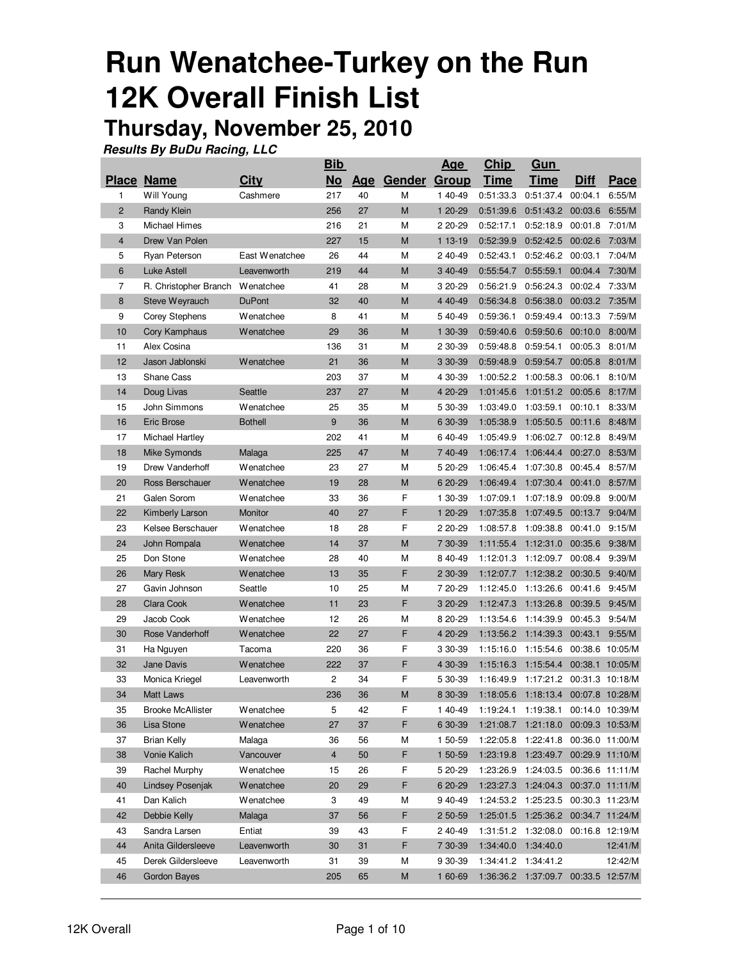# **Run Wenatchee-Turkey on the Run 12K Overall Finish List**

### **Thursday, November 25, 2010**

|                |                          |                | <b>Bib</b>     |     |                     | <u>Age</u> | <b>Chip</b> | Gun                                    |                 |                 |
|----------------|--------------------------|----------------|----------------|-----|---------------------|------------|-------------|----------------------------------------|-----------------|-----------------|
|                | <b>Place Name</b>        | Citv           | $No$           | Age | <b>Gender Group</b> |            | <b>Time</b> | <b>Time</b>                            | <b>Diff</b>     | Pace            |
| 1              | Will Young               | Cashmere       | 217            | 40  | M                   | 1 40-49    | 0:51:33.3   | 0:51:37.4                              | 00:04.1         | 6:55/M          |
| $\overline{2}$ | Randy Klein              |                | 256            | 27  | M                   | 1 20-29    | 0:51:39.6   | 0:51:43.2                              | 00:03.6         | 6:55/M          |
| 3              | Michael Himes            |                | 216            | 21  | Μ                   | 2 20-29    | 0:52:17.1   | 0:52:18.9                              | 00:01.8         | 7:01/M          |
| $\overline{4}$ | Drew Van Polen           |                | 227            | 15  | M                   | 1 13-19    | 0:52:39.9   | 0:52:42.5                              | 00:02.6         | 7:03/M          |
| 5              | Ryan Peterson            | East Wenatchee | 26             | 44  | М                   | 2 40-49    | 0:52:43.1   | 0:52:46.2                              | 00:03.1         | 7:04/M          |
| 6              | Luke Astell              | Leavenworth    | 219            | 44  | M                   | 3 40-49    | 0:55:54.7   | 0:55:59.1                              | 00:04.4 7:30/M  |                 |
| 7              | R. Christopher Branch    | Wenatchee      | 41             | 28  | М                   | 3 20-29    | 0:56:21.9   | 0:56:24.3                              | 00:02.4         | 7:33/M          |
| 8              | Steve Weyrauch           | <b>DuPont</b>  | 32             | 40  | M                   | 4 40-49    | 0:56:34.8   | 0:56:38.0                              | 00:03.2         | 7:35/M          |
| 9              | Corey Stephens           | Wenatchee      | 8              | 41  | М                   | 540-49     | 0:59:36.1   | 0:59:49.4                              | 00:13.3         | 7:59/M          |
| 10             | Cory Kamphaus            | Wenatchee      | 29             | 36  | M                   | 1 30-39    | 0:59:40.6   | 0:59:50.6                              | 00:10.0         | 8:00/M          |
| 11             | Alex Cosina              |                | 136            | 31  | Μ                   | 2 30-39    | 0:59:48.8   | 0:59:54.1                              | 00:05.3         | 8:01/M          |
| 12             | Jason Jablonski          | Wenatchee      | 21             | 36  | M                   | 3 30-39    | 0:59:48.9   | 0:59:54.7                              | 00:05.8         | 8:01/M          |
| 13             | <b>Shane Cass</b>        |                | 203            | 37  | Μ                   | 4 30-39    | 1:00:52.2   | 1:00:58.3                              | 00:06.1         | 8:10/M          |
| 14             | Doug Livas               | Seattle        | 237            | 27  | M                   | 4 20-29    | 1:01:45.6   | 1:01:51.2                              | 00:05.6         | 8:17/M          |
| 15             | John Simmons             | Wenatchee      | 25             | 35  | М                   | 5 30-39    | 1:03:49.0   | 1:03:59.1                              | 00:10.1         | 8:33/M          |
| 16             | Eric Brose               | <b>Bothell</b> | 9              | 36  | M                   | 6 30-39    | 1:05:38.9   | 1:05:50.5                              | 00:11.6         | 8:48/M          |
| 17             | Michael Hartley          |                | 202            | 41  | М                   | 640-49     | 1:05:49.9   | 1:06:02.7                              | 00:12.8         | 8:49/M          |
| 18             | Mike Symonds             | Malaga         | 225            | 47  | M                   | 7 40-49    | 1:06:17.4   | 1:06:44.4                              | 00:27.0         | 8:53/M          |
| 19             | Drew Vanderhoff          | Wenatchee      | 23             | 27  | М                   | 5 20-29    | 1:06:45.4   | 1:07:30.8                              | 00:45.4         | 8:57/M          |
| 20             | Ross Berschauer          | Wenatchee      | 19             | 28  | M                   | 6 20-29    | 1:06:49.4   | 1:07:30.4                              | 00:41.0         | 8:57/M          |
| 21             | Galen Sorom              | Wenatchee      | 33             | 36  | F                   | 1 30-39    | 1:07:09.1   | 1:07:18.9                              | 00:09.8         | 9:00/M          |
| 22             | Kimberly Larson          | Monitor        | 40             | 27  | F                   | 1 20-29    | 1:07:35.8   | 1:07:49.5                              | 00:13.7         | 9:04/M          |
| 23             | Kelsee Berschauer        | Wenatchee      | 18             | 28  | F                   | 2 20-29    | 1:08:57.8   | 1:09:38.8                              | 00:41.0         | 9:15/M          |
| 24             | John Rompala             | Wenatchee      | 14             | 37  | M                   | 7 30-39    | 1:11:55.4   | 1:12:31.0                              | 00:35.6         | 9:38/M          |
| 25             | Don Stone                | Wenatchee      | 28             | 40  | Μ                   | 8 40-49    | 1:12:01.3   | 1:12:09.7                              | 00:08.4         | 9:39/M          |
| 26             | Mary Resk                | Wenatchee      | 13             | 35  | F                   | 2 30-39    | 1:12:07.7   | 1:12:38.2                              | 00:30.5         | 9:40/M          |
| 27             | Gavin Johnson            | Seattle        | 10             | 25  | М                   | 7 20-29    | 1:12:45.0   | 1:13:26.6                              | 00:41.6         | 9:45/M          |
| 28             | Clara Cook               | Wenatchee      | 11             | 23  | F                   | 3 20-29    | 1:12:47.3   | 1:13:26.8                              | 00:39.5         | 9:45/M          |
| 29             | Jacob Cook               | Wenatchee      | 12             | 26  | М                   | 8 20-29    | 1:13:54.6   | 1:14:39.9                              | 00:45.3         | 9:54/M          |
| 30             | Rose Vanderhoff          | Wenatchee      | 22             | 27  | F                   | 4 20-29    | 1:13:56.2   | 1:14:39.3                              | 00:43.1         | 9:55/M          |
| 31             | Ha Nguyen                | Tacoma         | 220            | 36  | F                   | 3 30-39    | 1:15:16.0   | 1:15:54.6                              |                 | 00:38.6 10:05/M |
| 32             | <b>Jane Davis</b>        | Wenatchee      | 222            | 37  | F                   | 4 30-39    | 1:15:16.3   | 1:15:54.4                              |                 | 00:38.1 10:05/M |
| 33             | Monica Kriegel           | Leavenworth    | 2              | 34  | F                   | 5 30-39    | 1:16:49.9   | 1:17:21.2                              |                 | 00:31.3 10:18/M |
| 34             | Matt Laws                |                | 236            | 36  | M                   | 8 30-39    | 1:18:05.6   | 1:18:13.4                              |                 | 00:07.8 10:28/M |
| 35             | <b>Brooke McAllister</b> | Wenatchee      | 5              | 42  | F                   | 140-49     |             | 1:19:24.1  1:19:38.1  00:14.0  10:39/M |                 |                 |
| 36             | Lisa Stone               | Wenatchee      | 27             | 37  | F                   | 6 30-39    | 1:21:08.7   | 1:21:18.0                              |                 | 00:09.3 10:53/M |
| 37             | <b>Brian Kelly</b>       | Malaga         | 36             | 56  | Μ                   | 1 50-59    | 1:22:05.8   | 1:22:41.8                              |                 | 00:36.0 11:00/M |
| 38             | Vonie Kalich             | Vancouver      | $\overline{4}$ | 50  | F                   | 1 50-59    |             | 1:23:19.8  1:23:49.7  00:29.9  11:10/M |                 |                 |
| 39             | Rachel Murphy            | Wenatchee      | 15             | 26  | F                   | 5 20-29    | 1:23:26.9   | 1:24:03.5                              |                 | 00:36.6 11:11/M |
| 40             | Lindsey Posenjak         | Wenatchee      | 20             | 29  | F                   | 6 20-29    | 1:23:27.3   | 1:24:04.3                              |                 | 00:37.0 11:11/M |
| 41             | Dan Kalich               | Wenatchee      | 3              | 49  | Μ                   | 9 40-49    | 1:24:53.2   | 1:25:23.5                              |                 | 00:30.3 11:23/M |
| 42             | Debbie Kelly             | Malaga         | 37             | 56  | F                   | 2 50-59    | 1:25:01.5   | 1:25:36.2                              | 00:34.7 11:24/M |                 |
| 43             | Sandra Larsen            | Entiat         | 39             | 43  | F                   | 2 40-49    |             | 1:31:51.2 1:32:08.0 00:16.8 12:19/M    |                 |                 |
| 44             | Anita Gildersleeve       | Leavenworth    | 30             | 31  | F                   | 7 30-39    | 1:34:40.0   | 1:34:40.0                              |                 | 12:41/M         |
| 45             | Derek Gildersleeve       | Leavenworth    | 31             | 39  | М                   | 9 30-39    | 1:34:41.2   | 1:34:41.2                              |                 | 12:42/M         |
| 46             | Gordon Bayes             |                | 205            | 65  | M                   | 1 60-69    |             | 1:36:36.2 1:37:09.7 00:33.5 12:57/M    |                 |                 |
|                |                          |                |                |     |                     |            |             |                                        |                 |                 |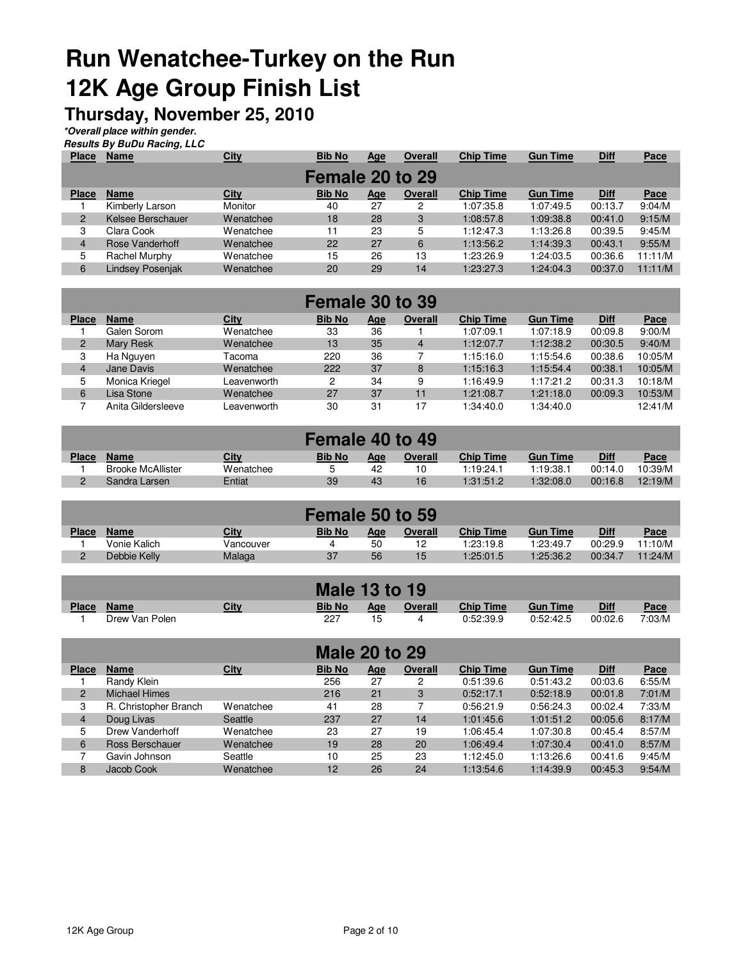## **Run Wenatchee-Turkey on the Run 12K Age Group Finish List**

### **Thursday, November 25, 2010**

**\*Overall place within gender.**

| <b>Results By BuDu Racing, LLC</b> |  |
|------------------------------------|--|

| <b>Place</b>   | <b>Name</b>             | <b>City</b> | <b>Bib No</b>   | <u>Age</u> | <b>Overall</b> | <b>Chip Time</b> | <b>Gun Time</b> | <b>Diff</b> | Pace    |
|----------------|-------------------------|-------------|-----------------|------------|----------------|------------------|-----------------|-------------|---------|
|                |                         |             | Female 20 to 29 |            |                |                  |                 |             |         |
| <b>Place</b>   | <b>Name</b>             | City        | <b>Bib No</b>   | <u>Age</u> | Overall        | <b>Chip Time</b> | <b>Gun Time</b> | <b>Diff</b> | Pace    |
|                | Kimberly Larson         | Monitor     | 40              | 27         | 2              | 1:07:35.8        | 1:07:49.5       | 00:13.7     | 9:04/M  |
| $\overline{2}$ | Kelsee Berschauer       | Wenatchee   | 18              | 28         | 3              | 1:08:57.8        | 1:09:38.8       | 00:41.0     | 9:15/M  |
| 3              | Clara Cook              | Wenatchee   | 11              | 23         | 5              | 1:12:47.3        | 1:13:26.8       | 00:39.5     | 9:45/M  |
| $\overline{4}$ | Rose Vanderhoff         | Wenatchee   | 22              | 27         | 6              | 1:13:56.2        | 1:14:39.3       | 00:43.1     | 9:55/M  |
| 5              | Rachel Murphy           | Wenatchee   | 15              | 26         | 13             | 1:23:26.9        | 1:24:03.5       | 00:36.6     | 11:11/M |
| 6              | <b>Lindsey Posenjak</b> | Wenatchee   | 20              | 29         | 14             | 1:23:27.3        | 1:24:04.3       | 00:37.0     | 11:11/M |

|                | Female 30 to 39    |             |               |            |                |                  |                 |             |         |  |  |  |
|----------------|--------------------|-------------|---------------|------------|----------------|------------------|-----------------|-------------|---------|--|--|--|
| <b>Place</b>   | <b>Name</b>        | City        | <b>Bib No</b> | <u>Age</u> | Overall        | <b>Chip Time</b> | <b>Gun Time</b> | <b>Diff</b> | Pace    |  |  |  |
|                | Galen Sorom        | Wenatchee   | 33            | 36         |                | 1:07:09.1        | 1:07:18.9       | 00:09.8     | 9:00/M  |  |  |  |
| 2              | Mary Resk          | Wenatchee   | 13            | 35         | $\overline{4}$ | 1:12:07.7        | 1:12:38.2       | 00:30.5     | 9:40/M  |  |  |  |
| 3              | Ha Nguyen          | Tacoma      | 220           | 36         |                | 1:15:16.0        | 1:15:54.6       | 00:38.6     | 10:05/M |  |  |  |
| $\overline{4}$ | Jane Davis         | Wenatchee   | 222           | 37         | 8              | 1:15:16.3        | 1:15:54.4       | 00:38.1     | 10:05/M |  |  |  |
| 5              | Monica Kriegel     | Leavenworth | 2             | 34         | 9              | 1:16:49.9        | 1:17:21.2       | 00:31.3     | 10:18/M |  |  |  |
| 6              | Lisa Stone         | Wenatchee   | 27            | 37         | 11             | 1:21:08.7        | 1:21:18.0       | 00:09.3     | 10:53/M |  |  |  |
|                | Anita Gildersleeve | Leavenworth | 30            | 31         | 17             | 1:34:40.0        | 1:34:40.0       |             | 12:41/M |  |  |  |

| Female 40 to 49 |                          |           |               |     |         |                  |                 |             |         |  |  |
|-----------------|--------------------------|-----------|---------------|-----|---------|------------------|-----------------|-------------|---------|--|--|
| <b>Place</b>    | <b>Name</b>              | City      | <b>Bib No</b> | Age | Overall | <b>Chip Time</b> | <b>Gun Time</b> | <b>Diff</b> | Pace    |  |  |
|                 | <b>Brooke McAllister</b> | Wenatchee | ∽             | 42  | 10      | 1:19:24.1        | 1:19:38.1       | 00:14.0     | 10:39/M |  |  |
|                 | Sandra Larsen            | Entiat    | 39            | 43  | 16      | 1:31:51.2        | 1:32:08.0       | 00:16.8     | 12:19/M |  |  |

| Female 50 to 59 |              |           |               |            |         |                  |                 |             |             |  |  |
|-----------------|--------------|-----------|---------------|------------|---------|------------------|-----------------|-------------|-------------|--|--|
| <b>Place</b>    | <b>Name</b>  | City      | <b>Bib No</b> | <u>Age</u> | Overall | <b>Chip Time</b> | <b>Gun Time</b> | <b>Diff</b> | <u>Pace</u> |  |  |
|                 | Vonie Kalich | Vancouver |               | 50         | 12      | 1:23:19.8        | 1:23:49.7       | 00:29.9     | 11:10/M     |  |  |
| _               | Debbie Kelly | Malaga    | 37            | 56         | 15      | 1:25:01.5        | 1:25:36.2       | 00:34.7     | 11:24/M     |  |  |

|              |                |      |               | <b>Male 13 to 19</b> |                |                  |                 |             |        |
|--------------|----------------|------|---------------|----------------------|----------------|------------------|-----------------|-------------|--------|
| <b>Place</b> | <b>Name</b>    | City | <b>Bib No</b> | Age                  | <b>Overall</b> | <b>Chip Time</b> | <b>Gun Time</b> | <b>Diff</b> | Pace   |
|              | Drew Van Polen |      | 227           |                      |                | 0:52:39.9        | 0:52:42.5       | 00:02.6     | 7:03/M |

| <b>Male 20 to 29</b> |                       |             |               |            |         |                  |                 |             |        |  |  |  |
|----------------------|-----------------------|-------------|---------------|------------|---------|------------------|-----------------|-------------|--------|--|--|--|
| <b>Place</b>         | <b>Name</b>           | <b>City</b> | <b>Bib No</b> | <u>Age</u> | Overall | <b>Chip Time</b> | <b>Gun Time</b> | <b>Diff</b> | Pace   |  |  |  |
|                      | Randy Klein           |             | 256           | 27         | 2       | 0:51:39.6        | 0:51:43.2       | 00:03.6     | 6:55/M |  |  |  |
| $\overline{2}$       | <b>Michael Himes</b>  |             | 216           | 21         | 3       | 0:52:17.1        | 0:52:18.9       | 00:01.8     | 7:01/M |  |  |  |
| 3                    | R. Christopher Branch | Wenatchee   | 41            | 28         |         | 0:56:21.9        | 0:56:24.3       | 00:02.4     | 7:33/M |  |  |  |
| $\overline{4}$       | Doug Livas            | Seattle     | 237           | 27         | 14      | 1:01:45.6        | 1:01:51.2       | 00:05.6     | 8:17/M |  |  |  |
| 5                    | Drew Vanderhoff       | Wenatchee   | 23            | 27         | 19      | 1:06:45.4        | 1:07:30.8       | 00:45.4     | 8:57/M |  |  |  |
| 6                    | Ross Berschauer       | Wenatchee   | 19            | 28         | 20      | 1:06:49.4        | 1:07:30.4       | 00:41.0     | 8:57/M |  |  |  |
|                      | Gavin Johnson         | Seattle     | 10            | 25         | 23      | 1:12:45.0        | 1:13:26.6       | 00:41.6     | 9:45/M |  |  |  |
| 8                    | Jacob Cook            | Wenatchee   | 12            | 26         | 24      | 1:13:54.6        | 1:14:39.9       | 00:45.3     | 9:54/M |  |  |  |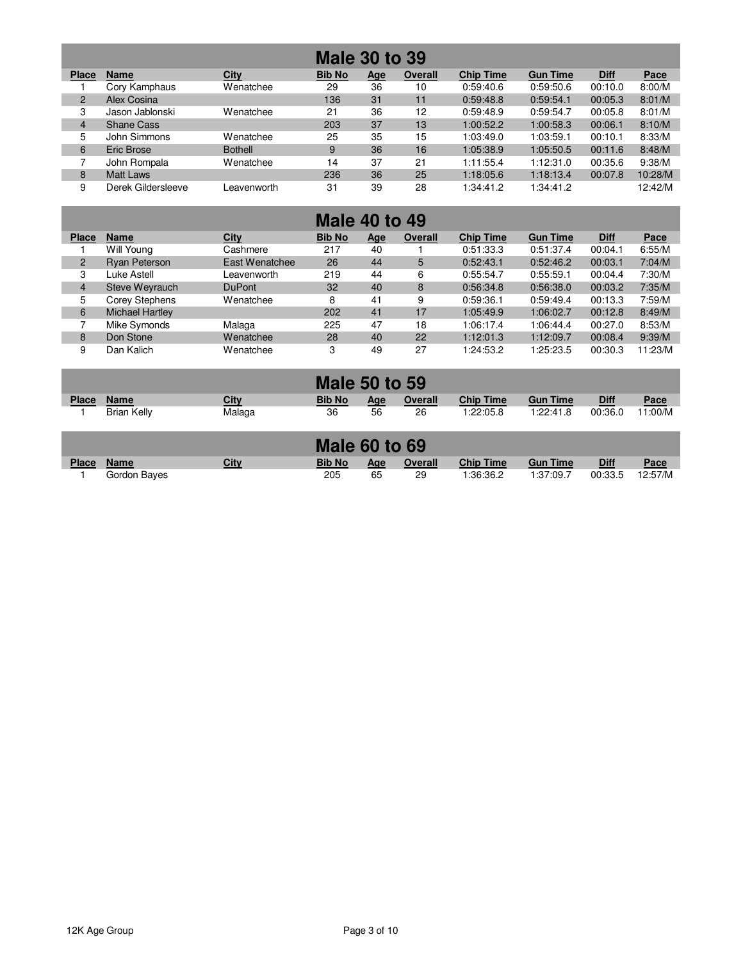| <b>Male 30 to 39</b> |                    |                |               |            |                |                  |                 |             |         |  |  |  |
|----------------------|--------------------|----------------|---------------|------------|----------------|------------------|-----------------|-------------|---------|--|--|--|
| <b>Place</b>         | <b>Name</b>        | <b>City</b>    | <b>Bib No</b> | <u>Age</u> | <b>Overall</b> | <b>Chip Time</b> | <b>Gun Time</b> | <b>Diff</b> | Pace    |  |  |  |
|                      | Cory Kamphaus      | Wenatchee      | 29            | 36         | 10             | 0:59:40.6        | 0:59:50.6       | 00:10.0     | 8:00/M  |  |  |  |
| $\overline{2}$       | Alex Cosina        |                | 136           | 31         | 11             | 0:59:48.8        | 0:59:54.1       | 00:05.3     | 8:01/M  |  |  |  |
| 3                    | Jason Jablonski    | Wenatchee      | 21            | 36         | 12             | 0:59:48.9        | 0:59:54.7       | 00:05.8     | 8:01/M  |  |  |  |
| $\overline{4}$       | <b>Shane Cass</b>  |                | 203           | 37         | 13             | 1:00:52.2        | 1:00:58.3       | 00:06.1     | 8:10/M  |  |  |  |
| 5                    | John Simmons       | Wenatchee      | 25            | 35         | 15             | 1:03:49.0        | 1:03:59.1       | 00:10.1     | 8:33/M  |  |  |  |
| 6                    | Eric Brose         | <b>Bothell</b> | 9             | 36         | 16             | 1:05:38.9        | 1:05:50.5       | 00:11.6     | 8:48/M  |  |  |  |
|                      | John Rompala       | Wenatchee      | 14            | 37         | 21             | 1:11:55.4        | 1:12:31.0       | 00:35.6     | 9:38/M  |  |  |  |
| 8                    | Matt Laws          |                | 236           | 36         | 25             | 1:18:05.6        | 1:18:13.4       | 00:07.8     | 10:28/M |  |  |  |
| 9                    | Derek Gildersleeve | Leavenworth    | 31            | 39         | 28             | 1:34:41.2        | 1:34:41.2       |             | 12:42/M |  |  |  |

|                | <b>Male 40 to 49</b>   |                |               |            |         |                  |                 |             |         |  |  |  |  |
|----------------|------------------------|----------------|---------------|------------|---------|------------------|-----------------|-------------|---------|--|--|--|--|
| <b>Place</b>   | <b>Name</b>            | City           | <b>Bib No</b> | <u>Age</u> | Overall | <b>Chip Time</b> | <b>Gun Time</b> | <b>Diff</b> | Pace    |  |  |  |  |
|                | Will Young             | Cashmere       | 217           | 40         |         | 0:51:33.3        | 0:51:37.4       | 00:04.1     | 6:55/M  |  |  |  |  |
| $\overline{2}$ | Ryan Peterson          | East Wenatchee | 26            | 44         | 5       | 0:52:43.1        | 0:52:46.2       | 00:03.1     | 7:04/M  |  |  |  |  |
| 3              | Luke Astell            | Leavenworth    | 219           | 44         | 6       | 0:55:54.7        | 0:55:59.1       | 00:04.4     | 7:30/M  |  |  |  |  |
| $\overline{4}$ | Steve Weyrauch         | <b>DuPont</b>  | 32            | 40         | 8       | 0:56:34.8        | 0:56:38.0       | 00:03.2     | 7:35/M  |  |  |  |  |
| 5              | Corey Stephens         | Wenatchee      | 8             | 41         | 9       | 0:59:36.1        | 0:59:49.4       | 00:13.3     | 7:59/M  |  |  |  |  |
| 6              | <b>Michael Hartley</b> |                | 202           | 41         | 17      | 1:05:49.9        | 1:06:02.7       | 00:12.8     | 8:49/M  |  |  |  |  |
|                | Mike Symonds           | Malaga         | 225           | 47         | 18      | 1:06:17.4        | 1:06:44.4       | 00:27.0     | 8:53/M  |  |  |  |  |
| 8              | Don Stone              | Wenatchee      | 28            | 40         | 22      | 1:12:01.3        | 1:12:09.7       | 00:08.4     | 9:39/M  |  |  |  |  |
| 9              | Dan Kalich             | Wenatchee      | 3             | 49         | 27      | 1:24:53.2        | 1:25:23.5       | 00:30.3     | 11:23/M |  |  |  |  |

|              |             |        | <b>Male 50 to 59</b> |     |                |                  |                 |             |             |
|--------------|-------------|--------|----------------------|-----|----------------|------------------|-----------------|-------------|-------------|
| <b>Place</b> | <b>Name</b> | City   | <b>Bib No</b>        | Age | <b>Overall</b> | <b>Chip Time</b> | <b>Gun Time</b> | <b>Diff</b> | <u>Pace</u> |
|              | Brian Kelly | Malaga | 36                   | 56  | 26             | 1:22:05.8        | 1:22:41.8       | 00:36.0     | 11:00/M     |

|              |              |      | <b>Male 60 to 69</b> |     |         |                  |                 |             |             |
|--------------|--------------|------|----------------------|-----|---------|------------------|-----------------|-------------|-------------|
| <b>Place</b> | <b>Name</b>  | City | <b>Bib No</b>        | Aae | Overall | <b>Chip Time</b> | <b>Gun Time</b> | <b>Diff</b> | <u>Pace</u> |
|              | Gordon Baves |      | 205                  | 65  | 29      | 1:36:36.2        | 1:37:09.7       | 00:33.5     | 12:57/M     |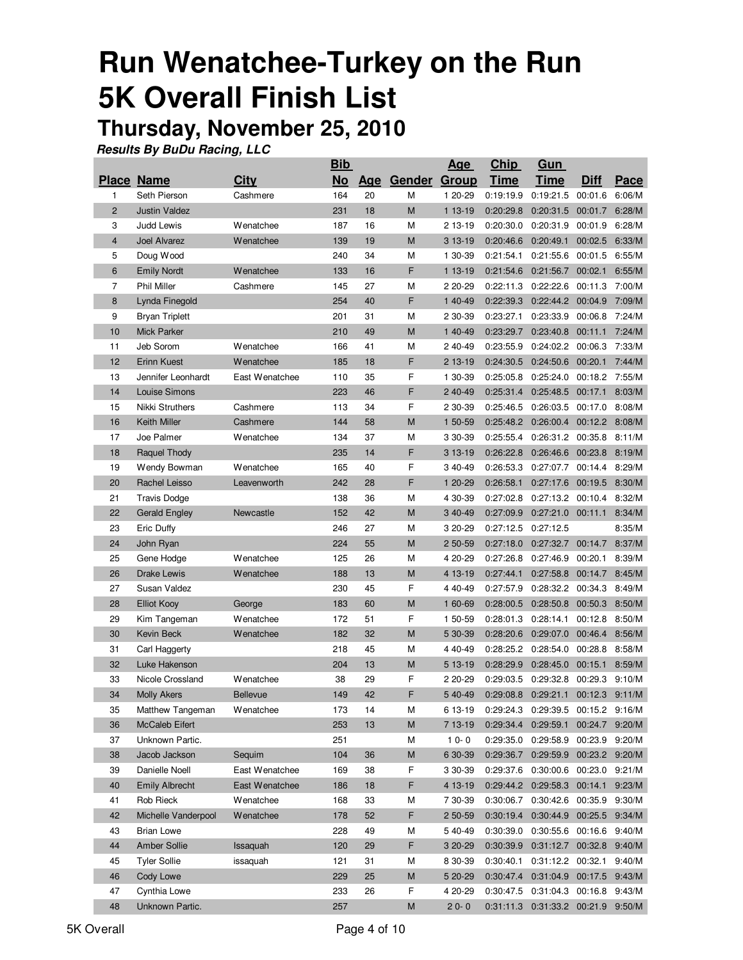# **Run Wenatchee-Turkey on the Run 5K Overall Finish List**

## **Thursday, November 25, 2010**

|                |                       |                  | <u>Bib</u> |    |              | <u>Age</u> | <u>Chip</u> | <u>Gun</u>                            |             |        |
|----------------|-----------------------|------------------|------------|----|--------------|------------|-------------|---------------------------------------|-------------|--------|
|                | <b>Place Name</b>     | City             | <b>No</b>  |    | Age Gender   | Group      | <b>Time</b> | Time                                  | <b>Diff</b> | Pace   |
| 1              | Seth Pierson          | Cashmere         | 164        | 20 | M            | 1 20-29    | 0:19:19.9   | 0:19:21.5                             | 00:01.6     | 6:06/M |
| $\overline{c}$ | <b>Justin Valdez</b>  |                  | 231        | 18 | M            | 1 13-19    | 0:20:29.8   | 0:20:31.5 00:01.7                     |             | 6:28/M |
| 3              | <b>Judd Lewis</b>     | Wenatchee        | 187        | 16 | M            | 2 13-19    | 0:20:30.0   | 0:20:31.9                             | 00:01.9     | 6:28/M |
| 4              | Joel Alvarez          | Wenatchee        | 139        | 19 | M            | 3 13-19    | 0:20:46.6   | 0:20:49.1                             | 00:02.5     | 6:33/M |
| 5              | Doug Wood             |                  | 240        | 34 | М            | 1 30-39    | 0:21:54.1   | 0:21:55.6                             | 00:01.5     | 6:55/M |
| 6              | <b>Emily Nordt</b>    | <b>Wenatchee</b> | 133        | 16 | F            | 1 13-19    | 0:21:54.6   | 0:21:56.7                             | 00:02.1     | 6:55/M |
| 7              | <b>Phil Miller</b>    | Cashmere         | 145        | 27 | М            | 2 20-29    | 0:22:11.3   | 0:22:22.6                             | 00:11.3     | 7:00/M |
| 8              | Lynda Finegold        |                  | 254        | 40 | F            | 1 40-49    | 0:22:39.3   | 0:22:44.2 00:04.9                     |             | 7:09/M |
| 9              | <b>Bryan Triplett</b> |                  | 201        | 31 | M            | 2 30-39    | 0:23:27.1   | 0:23:33.9                             | 00:06.8     | 7:24/M |
| 10             | <b>Mick Parker</b>    |                  | 210        | 49 | M            | 1 40-49    | 0:23:29.7   | 0:23:40.8                             | 00:11.1     | 7:24/M |
| 11             | Jeb Sorom             | <b>Wenatchee</b> | 166        | 41 | М            | 240-49     | 0:23:55.9   | 0:24:02.2                             | 00:06.3     | 7:33/M |
| 12             | <b>Erinn Kuest</b>    | <b>Wenatchee</b> | 185        | 18 | F            | 2 13-19    | 0:24:30.5   | 0:24:50.6                             | 00:20.1     | 7:44/M |
| 13             | Jennifer Leonhardt    | East Wenatchee   | 110        | 35 | F            | 1 30-39    | 0:25:05.8   | 0:25:24.0                             | 00:18.2     | 7:55/M |
| 14             | Louise Simons         |                  | 223        | 46 | F            | 2 40-49    |             | 0:25:31.4 0:25:48.5 00:17.1           |             | 8:03/M |
| 15             | Nikki Struthers       | Cashmere         | 113        | 34 | F            | 2 30-39    | 0:25:46.5   | 0:26:03.5 00:17.0                     |             | 8:08/M |
| 16             | Keith Miller          | Cashmere         | 144        | 58 | M            | 1 50-59    | 0:25:48.2   | $0:26:00.4$ 00:12.2                   |             | 8:08/M |
| 17             | Joe Palmer            | Wenatchee        | 134        | 37 | М            | 3 30-39    | 0:25:55.4   | 0:26:31.2 00:35.8                     |             | 8:11/M |
| 18             | Raquel Thody          |                  | 235        | 14 | F            | 3 13-19    | 0:26:22.8   | 0:26:46.6                             | 00:23.8     | 8:19/M |
| 19             | Wendy Bowman          | <b>Wenatchee</b> | 165        | 40 | F            | 3 40-49    | 0:26:53.3   | 0:27:07.7                             | 00:14.4     | 8:29/M |
| 20             | Rachel Leisso         | Leavenworth      | 242        | 28 | F            | 1 20-29    | 0:26:58.1   | 0:27:17.6                             | 00:19.5     | 8:30/M |
| 21             | <b>Travis Dodge</b>   |                  | 138        | 36 | M            | 4 30-39    | 0:27:02.8   | 0:27:13.2 00:10.4                     |             | 8:32/M |
| 22             | <b>Gerald Engley</b>  | Newcastle        | 152        | 42 | M            | 3 40-49    | 0:27:09.9   | 0:27:21.0 00:11.1                     |             | 8:34/M |
| 23             | Eric Duffy            |                  | 246        | 27 | M            | 3 20-29    | 0:27:12.5   | 0:27:12.5                             |             | 8:35/M |
| 24             | John Ryan             |                  | 224        | 55 | M            | 2 50-59    | 0:27:18.0   | 0:27:32.7                             | 00:14.7     | 8:37/M |
| 25             | Gene Hodge            | <b>Wenatchee</b> | 125        | 26 | M            | 4 20-29    | 0:27:26.8   | 0:27:46.9                             | 00:20.1     | 8:39/M |
| 26             | <b>Drake Lewis</b>    | <b>Wenatchee</b> | 188        | 13 | M            | 4 13-19    | 0:27:44.1   | 0:27:58.8                             | 00:14.7     | 8:45/M |
| 27             | Susan Valdez          |                  | 230        | 45 | F            | 4 40-49    | 0:27:57.9   | 0:28:32.2 00:34.3                     |             | 8:49/M |
| 28             | <b>Elliot Kooy</b>    | George           | 183        | 60 | M            | 1 60-69    | 0:28:00.5   | 0:28:50.8 00:50.3                     |             | 8:50/M |
| 29             | Kim Tangeman          | Wenatchee        | 172        | 51 | F            | 1 50-59    | 0:28:01.3   | 0:28:14.1                             | 00:12.8     | 8:50/M |
| 30             | Kevin Beck            | Wenatchee        | 182        | 32 | M            | 5 30-39    | 0:28:20.6   | 0:29:07.0                             | 00:46.4     | 8:56/M |
| 31             | Carl Haggerty         |                  | 218        | 45 | M            | 4 40-49    | 0:28:25.2   | 0:28:54.0                             | 00:28.8     | 8:58/M |
| 32             | Luke Hakenson         |                  | 204        | 13 | M            | 5 13-19    | 0:28:29.9   | 0:28:45.0                             | 00:15.1     | 8:59/M |
| 33             | Nicole Crossland      | <b>Wenatchee</b> | 38         | 29 | F            | 2 20-29    | 0:29:03.5   | 0:29:32.8                             | 00:29.3     | 9:10/M |
| 34             | <b>Molly Akers</b>    | <b>Bellevue</b>  | 149        | 42 | F            | 5 40-49    |             | 0:29:08.8  0:29:21.1  00:12.3  9:11/M |             |        |
| 35             | Matthew Tangeman      | Wenatchee        | 173        | 14 | M            | 6 13-19    | 0:29:24.3   | 0:29:39.5 00:15.2 9:16/M              |             |        |
| 36             | McCaleb Eifert        |                  | 253        | 13 | $\mathsf{M}$ | 7 13-19    | 0:29:34.4   | 0:29:59.1                             | 00:24.7     | 9:20/M |
| 37             | Unknown Partic.       |                  | 251        |    | М            | $10-0$     | 0:29:35.0   | 0:29:58.9                             | 00:23.9     | 9:20/M |
| 38             | Jacob Jackson         | Sequim           | 104        | 36 | M            | 6 30-39    | 0:29:36.7   | 0:29:59.9 00:23.2 9:20/M              |             |        |
| 39             | Danielle Noell        | East Wenatchee   | 169        | 38 | F            | 3 30-39    | 0:29:37.6   | 0:30:00.6 00:23.0                     |             | 9:21/M |
| 40             | <b>Emily Albrecht</b> | East Wenatchee   | 186        | 18 | F            | 4 13-19    |             | 0:29:44.2 0:29:58.3 00:14.1           |             | 9:23/M |
| 41             | Rob Rieck             | Wenatchee        | 168        | 33 | М            | 7 30-39    | 0:30:06.7   | 0:30:42.6 00:35.9                     |             | 9:30/M |
| 42             | Michelle Vanderpool   | Wenatchee        | 178        | 52 | F            | 2 50-59    | 0:30:19.4   | 0:30:44.9 00:25.5                     |             | 9:34/M |
| 43             | <b>Brian Lowe</b>     |                  | 228        | 49 | М            | 540-49     | 0:30:39.0   | 0:30:55.6 00:16.6                     |             | 9:40/M |
| 44             | Amber Sollie          | Issaquah         | 120        | 29 | F            | 3 20-29    | 0:30:39.9   | 0:31:12.7 00:32.8                     |             | 9:40/M |
| 45             | <b>Tyler Sollie</b>   | issaquah         | 121        | 31 | М            | 8 30-39    | 0:30:40.1   | 0:31:12.2 00:32.1                     |             | 9:40/M |
| 46             | Cody Lowe             |                  | 229        | 25 | M            | 5 20-29    | 0:30:47.4   | 0:31:04.9 00:17.5 9:43/M              |             |        |
| 47             | Cynthia Lowe          |                  | 233        | 26 | F            | 4 20-29    | 0:30:47.5   | 0:31:04.3 00:16.8                     |             | 9:43/M |
| 48             | Unknown Partic.       |                  | 257        |    | M            | $20 - 0$   |             | 0:31:11.3  0:31:33.2  00:21.9         |             | 9:50/M |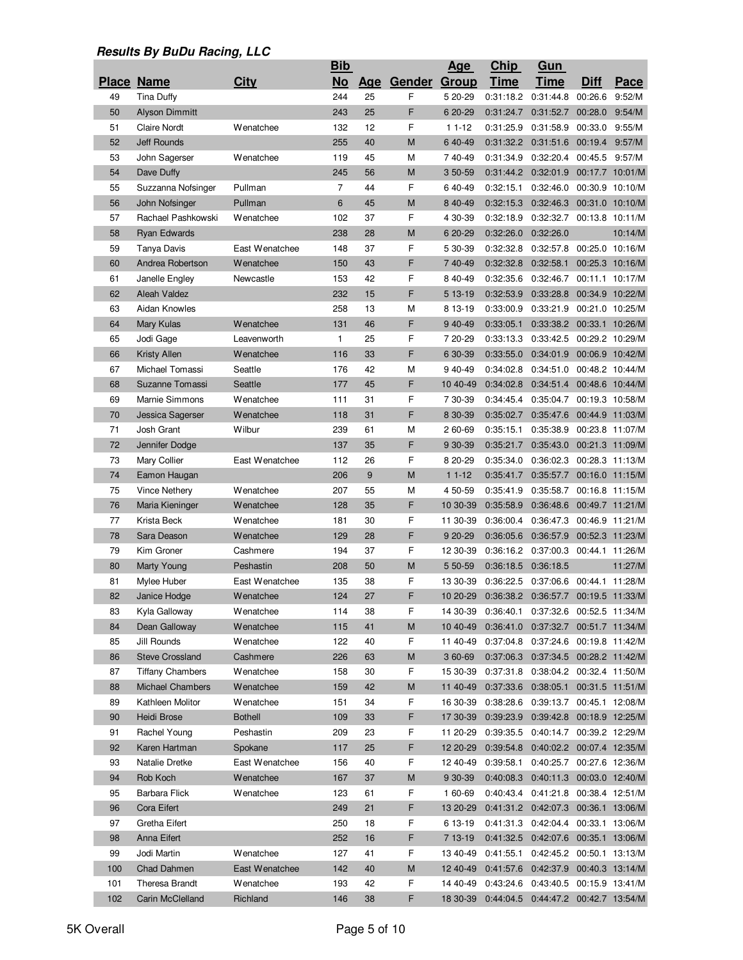|     |                                        |                  | <b>Bib</b>     |          |        | <u>Age</u>   | <b>Chip</b> | <u>Gun</u>                             |                                    |                 |
|-----|----------------------------------------|------------------|----------------|----------|--------|--------------|-------------|----------------------------------------|------------------------------------|-----------------|
|     | <b>Place Name</b>                      | <b>City</b>      | <b>No</b>      | Age      | Gender | <b>Group</b> | <b>Time</b> | <b>Time</b>                            | <b>Diff</b>                        | Pace            |
| 49  | <b>Tina Duffy</b>                      |                  | 244            | 25       | F      | 5 20-29      | 0:31:18.2   | 0:31:44.8                              | 00:26.6                            | 9:52/M          |
| 50  | <b>Alyson Dimmitt</b>                  |                  | 243            | 25       | F      | 6 20-29      | 0:31:24.7   | 0:31:52.7                              | 00:28.0                            | 9:54/M          |
| 51  | <b>Claire Nordt</b>                    | Wenatchee        | 132            | 12       | F      | $11 - 12$    | 0:31:25.9   | 0:31:58.9                              | 00:33.0                            | 9:55/M          |
| 52  | <b>Jeff Rounds</b>                     |                  | 255            | 40       | M      | 6 40-49      | 0:31:32.2   | 0:31:51.6                              | 00:19.4                            | 9:57/M          |
| 53  | John Sagerser                          | Wenatchee        | 119            | 45       | М      | 740-49       | 0:31:34.9   | 0:32:20.4 00:45.5                      |                                    | 9:57/M          |
| 54  | Dave Duffy                             |                  | 245            | 56       | M      | 3 50-59      | 0:31:44.2   | 0:32:01.9 00:17.7 10:01/M              |                                    |                 |
| 55  | Suzzanna Nofsinger                     | Pullman          | $\overline{7}$ | 44       | F      | 640-49       | 0:32:15.1   | 0:32:46.0 00:30.9 10:10/M              |                                    |                 |
| 56  | John Nofsinger                         | Pullman          | 6              | 45       | M      | 8 40-49      | 0:32:15.3   | 0:32:46.3                              | 00:31.0 10:10/M                    |                 |
| 57  | Rachael Pashkowski                     | Wenatchee        | 102            | 37       | F      | 4 30-39      | 0:32:18.9   | 0:32:32.7 00:13.8 10:11/M              |                                    |                 |
| 58  | <b>Ryan Edwards</b>                    |                  | 238            | 28       | M      | 6 20-29      | 0:32:26.0   | 0:32:26.0                              |                                    | 10:14/M         |
| 59  | Tanya Davis                            | East Wenatchee   | 148            | 37       | F      | 5 30-39      | 0:32:32.8   | 0:32:57.8 00:25.0 10:16/M              |                                    |                 |
| 60  | Andrea Robertson                       | Wenatchee        | 150            | 43       | F      | 740-49       | 0:32:32.8   | 0:32:58.1 00:25.3 10:16/M              |                                    |                 |
| 61  | Janelle Engley                         | Newcastle        | 153            | 42       | F      | 8 40-49      | 0:32:35.6   | 0:32:46.7 00:11.1 10:17/M              |                                    |                 |
| 62  | Aleah Valdez                           |                  | 232            | 15       | F      | 5 13-19      | 0:32:53.9   | 0:33:28.8                              | 00:34.9 10:22/M                    |                 |
| 63  | Aidan Knowles                          |                  | 258            | 13       | М      | 8 13-19      | 0:33:00.9   | 0:33:21.9                              | 00:21.0 10:25/M                    |                 |
| 64  | <b>Mary Kulas</b>                      | Wenatchee        | 131            | 46       | F      | 9 40-49      | 0:33:05.1   | 0:33:38.2                              | 00:33.1 10:26/M                    |                 |
| 65  | Jodi Gage                              | Leavenworth      | 1              | 25       | F      | 7 20-29      | 0:33:13.3   | 0:33:42.5                              |                                    | 00:29.2 10:29/M |
|     |                                        |                  | 116            | 33       | F      |              |             |                                        |                                    |                 |
| 66  | <b>Kristy Allen</b><br>Michael Tomassi | Wenatchee        |                |          |        | 6 30-39      | 0:33:55.0   | 0:34:01.9<br>0:34:51.0                 | 00:06.9 10:42/M<br>00:48.2 10:44/M |                 |
| 67  |                                        | Seattle          | 176            | 42       | М<br>F | 940-49       | 0:34:02.8   |                                        |                                    |                 |
| 68  | Suzanne Tomassi                        | Seattle          | 177            | 45<br>31 | F      | 10 40-49     | 0:34:02.8   | 0:34:51.4 00:48.6 10:44/M              |                                    |                 |
| 69  | Marnie Simmons                         | Wenatchee        | 111            |          |        | 7 30-39      | 0:34:45.4   | 0:35:04.7                              |                                    | 00:19.3 10:58/M |
| 70  | Jessica Sagerser                       | Wenatchee        | 118            | 31       | F      | 8 30-39      | 0:35:02.7   | 0:35:47.6                              | 00:44.9 11:03/M                    |                 |
| 71  | Josh Grant                             | Wilbur           | 239            | 61       | М      | 2 60-69      | 0:35:15.1   | 0:35:38.9                              | 00:23.8 11:07/M                    |                 |
| 72  | Jennifer Dodge                         |                  | 137            | 35       | F      | 9 30-39      | 0:35:21.7   | 0:35:43.0 00:21.3 11:09/M              |                                    |                 |
| 73  | Mary Collier                           | East Wenatchee   | 112            | 26       | F      | 8 20-29      | 0:35:34.0   | 0:36:02.3 00:28.3 11:13/M              |                                    |                 |
| 74  | Eamon Haugan                           |                  | 206            | 9        | M      | $11-12$      | 0:35:41.7   | 0:35:57.7 00:16.0 11:15/M              |                                    |                 |
| 75  | Vince Nethery                          | <b>Wenatchee</b> | 207            | 55       | М      | 4 50-59      | 0:35:41.9   | 0:35:58.7                              | 00:16.8 11:15/M                    |                 |
| 76  | Maria Kieninger                        | Wenatchee        | 128            | 35       | F      | 10 30-39     | 0:35:58.9   | 0:36:48.6                              |                                    | 00:49.7 11:21/M |
| 77  | Krista Beck                            | <b>Wenatchee</b> | 181            | 30       | F      | 11 30-39     | 0:36:00.4   | 0:36:47.3                              | 00:46.9 11:21/M                    |                 |
| 78  | Sara Deason                            | Wenatchee        | 129            | 28       | F      | 9 20-29      | 0:36:05.6   | 0:36:57.9                              |                                    | 00:52.3 11:23/M |
| 79  | Kim Groner                             | Cashmere         | 194            | 37       | F      | 12 30-39     | 0:36:16.2   | 0:37:00.3 00:44.1 11:26/M              |                                    |                 |
| 80  | Marty Young                            | Peshastin        | 208            | 50       | M      | 5 50-59      | 0:36:18.5   | 0:36:18.5                              |                                    | 11:27/M         |
| 81  | Mylee Huber                            | East Wenatchee   | 135            | 38       | F      | 13 30-39     | 0:36:22.5   | 0:37:06.6                              | 00:44.1                            | 11:28/M         |
| 82  | Janice Hodge                           | Wenatchee        | 124            | 27       | F      | 10 20-29     | 0:36:38.2   | 0:36:57.7 00:19.5 11:33/M              |                                    |                 |
| 83  | Kyla Galloway                          | Wenatchee        | 114            | 38       | F      | 14 30-39     | 0:36:40.1   | 0:37:32.6 00:52.5 11:34/M              |                                    |                 |
| 84  | Dean Galloway                          | Wenatchee        | 115            | 41       | M      | 10 40-49     | 0:36:41.0   | 0:37:32.7 00:51.7 11:34/M              |                                    |                 |
| 85  | Jill Rounds                            | Wenatchee        | 122            | 40       | F      | 11 40-49     | 0:37:04.8   | 0:37:24.6 00:19.8 11:42/M              |                                    |                 |
| 86  | <b>Steve Crossland</b>                 | Cashmere         | 226            | 63       | M      | 3 60-69      | 0:37:06.3   | 0:37:34.5 00:28.2 11:42/M              |                                    |                 |
| 87  | <b>Tiffany Chambers</b>                | <b>Wenatchee</b> | 158            | 30       | F      | 15 30-39     | 0:37:31.8   | 0:38:04.2 00:32.4 11:50/M              |                                    |                 |
| 88  | Michael Chambers                       | Wenatchee        | 159            | 42       | M      | 11 40-49     | 0:37:33.6   | 0:38:05.1 00:31.5 11:51/M              |                                    |                 |
| 89  | Kathleen Molitor                       | Wenatchee        | 151            | 34       | F      | 16 30-39     | 0:38:28.6   | 0:39:13.7                              |                                    | 00:45.1 12:08/M |
| 90  | Heidi Brose                            | <b>Bothell</b>   | 109            | 33       | F      | 17 30-39     | 0:39:23.9   | 0:39:42.8                              |                                    | 00:18.9 12:25/M |
| 91  | Rachel Young                           | Peshastin        | 209            | 23       | F      | 11 20-29     | 0:39:35.5   | 0:40:14.7 00:39.2 12:29/M              |                                    |                 |
| 92  | Karen Hartman                          | Spokane          | 117            | 25       | F      | 12 20-29     | 0:39:54.8   | 0:40:02.2 00:07.4 12:35/M              |                                    |                 |
| 93  | Natalie Dretke                         | East Wenatchee   | 156            | 40       | F      | 12 40-49     | 0:39:58.1   | 0:40:25.7 00:27.6 12:36/M              |                                    |                 |
| 94  | Rob Koch                               | Wenatchee        | 167            | 37       | М      | 9 30-39      | 0:40:08.3   | 0:40:11.3 00:03.0 12:40/M              |                                    |                 |
| 95  | Barbara Flick                          | Wenatchee        | 123            | 61       | F      | 1 60-69      | 0:40:43.4   | 0:41:21.8 00:38.4 12:51/M              |                                    |                 |
| 96  | Cora Eifert                            |                  | 249            | 21       | F      | 13 20-29     | 0:41:31.2   | 0:42:07.3                              |                                    | 00:36.1 13:06/M |
| 97  | Gretha Eifert                          |                  | 250            | 18       | F      | 6 13-19      | 0:41:31.3   | 0:42:04.4 00:33.1 13:06/M              |                                    |                 |
| 98  | Anna Eifert                            |                  | 252            | 16       | F      | 7 13-19      | 0:41:32.5   | 0:42:07.6 00:35.1 13:06/M              |                                    |                 |
| 99  | Jodi Martin                            | <b>Wenatchee</b> | 127            | 41       | F      | 13 40-49     | 0:41:55.1   | 0:42:45.2 00:50.1 13:13/M              |                                    |                 |
| 100 | Chad Dahmen                            | East Wenatchee   | 142            | 40       | M      | 12 40-49     | 0:41:57.6   | 0:42:37.9 00:40.3 13:14/M              |                                    |                 |
| 101 | <b>Theresa Brandt</b>                  | Wenatchee        | 193            | 42       | F      | 14 40-49     | 0:43:24.6   | 0:43:40.5 00:15.9 13:41/M              |                                    |                 |
| 102 | Carin McClelland                       | Richland         | 146            | 38       | F      | 18 30-39     |             | 0:44:04.5  0:44:47.2  00:42.7  13:54/M |                                    |                 |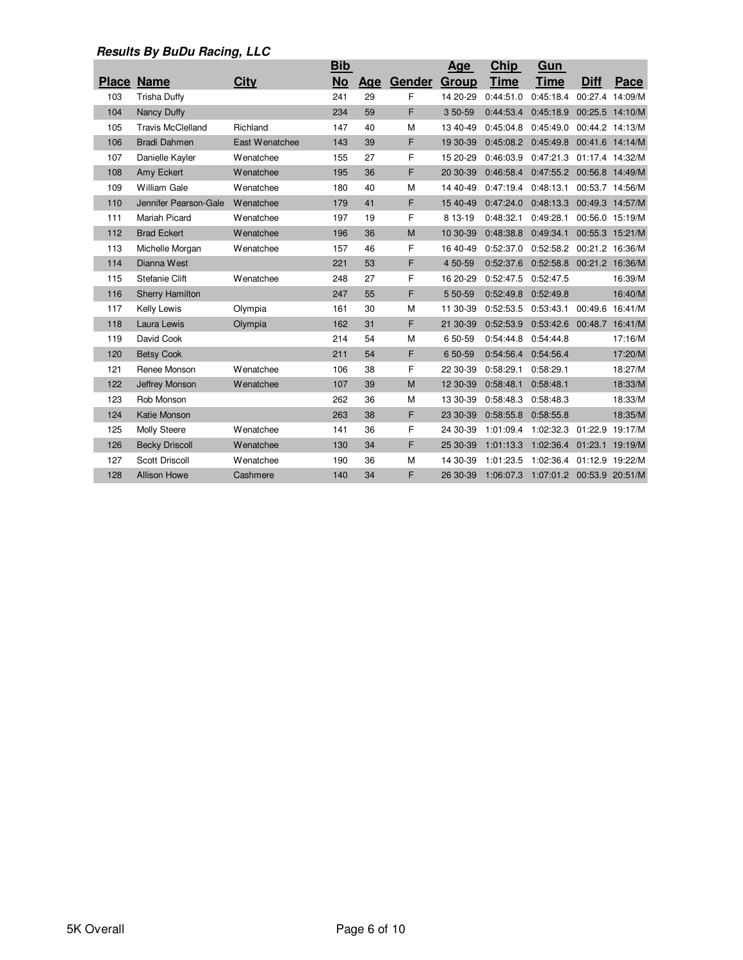|     |                          |                  | <b>Bib</b> |            |        | <u>Age</u>   | <b>Chip</b> | Gun         |                 |                 |
|-----|--------------------------|------------------|------------|------------|--------|--------------|-------------|-------------|-----------------|-----------------|
|     | <b>Place Name</b>        | <b>City</b>      | <b>No</b>  | <b>Age</b> | Gender | <b>Group</b> | <b>Time</b> | <b>Time</b> | <b>Diff</b>     | Pace            |
| 103 | <b>Trisha Duffy</b>      |                  | 241        | 29         | F      | 14 20-29     | 0:44:51.0   | 0:45:18.4   |                 | 00:27.4 14:09/M |
| 104 | Nancy Duffy              |                  | 234        | 59         | F      | 350-59       | 0:44:53.4   | 0:45:18.9   |                 | 00:25.5 14:10/M |
| 105 | <b>Travis McClelland</b> | Richland         | 147        | 40         | M      | 13 40-49     | 0:45:04.8   | 0:45:49.0   |                 | 00:44.2 14:13/M |
| 106 | <b>Bradi Dahmen</b>      | East Wenatchee   | 143        | 39         | F      | 19 30-39     | 0:45:08.2   | 0:45:49.8   |                 | 00:41.6 14:14/M |
| 107 | Danielle Kayler          | <b>Wenatchee</b> | 155        | 27         | F      | 15 20-29     | 0:46:03.9   | 0:47:21.3   |                 | 01:17.4 14:32/M |
| 108 | Amy Eckert               | Wenatchee        | 195        | 36         | F      | 20 30-39     | 0:46:58.4   | 0:47:55.2   |                 | 00:56.8 14:49/M |
| 109 | <b>William Gale</b>      | Wenatchee        | 180        | 40         | M      | 14 40-49     | 0:47:19.4   | 0:48:13.1   |                 | 00:53.7 14:56/M |
| 110 | Jennifer Pearson-Gale    | <b>Wenatchee</b> | 179        | 41         | F      | 15 40-49     | 0:47:24.0   | 0:48:13.3   |                 | 00:49.3 14:57/M |
| 111 | Mariah Picard            | Wenatchee        | 197        | 19         | F      | 8 13-19      | 0:48:32.1   | 0:49:28.1   |                 | 00:56.0 15:19/M |
| 112 | <b>Brad Eckert</b>       | Wenatchee        | 196        | 36         | M      | 10 30-39     | 0:48:38.8   | 0:49:34.1   |                 | 00:55.3 15:21/M |
| 113 | Michelle Morgan          | <b>Wenatchee</b> | 157        | 46         | F      | 16 40-49     | 0:52:37.0   | 0:52:58.2   |                 | 00:21.2 16:36/M |
| 114 | Dianna West              |                  | 221        | 53         | F      | 4 50-59      | 0:52:37.6   | 0:52:58.8   |                 | 00:21.2 16:36/M |
| 115 | Stefanie Clift           | <b>Wenatchee</b> | 248        | 27         | F      | 16 20-29     | 0:52:47.5   | 0:52:47.5   |                 | 16:39/M         |
| 116 | <b>Sherry Hamilton</b>   |                  | 247        | 55         | F      | 5 50-59      | 0:52:49.8   | 0:52:49.8   |                 | 16:40/M         |
| 117 | <b>Kelly Lewis</b>       | Olympia          | 161        | 30         | M      | 11 30-39     | 0:52:53.5   | 0:53:43.1   |                 | 00:49.6 16:41/M |
| 118 | Laura Lewis              | Olympia          | 162        | 31         | F      | 21 30-39     | 0:52:53.9   | 0:53:42.6   |                 | 00:48.7 16:41/M |
| 119 | David Cook               |                  | 214        | 54         | M      | 6 50-59      | 0:54:44.8   | 0:54:44.8   |                 | 17:16/M         |
| 120 | <b>Betsy Cook</b>        |                  | 211        | 54         | F      | 6 50-59      | 0:54:56.4   | 0:54:56.4   |                 | 17:20/M         |
| 121 | Renee Monson             | Wenatchee        | 106        | 38         | F      | 22 30-39     | 0:58:29.1   | 0:58:29.1   |                 | 18:27/M         |
| 122 | Jeffrey Monson           | Wenatchee        | 107        | 39         | M      | 12 30-39     | 0:58:48.1   | 0:58:48.1   |                 | 18:33/M         |
| 123 | Rob Monson               |                  | 262        | 36         | M      | 13 30-39     | 0:58:48.3   | 0:58:48.3   |                 | 18:33/M         |
| 124 | Katie Monson             |                  | 263        | 38         | F      | 23 30-39     | 0:58:55.8   | 0:58:55.8   |                 | 18:35/M         |
| 125 | Molly Steere             | Wenatchee        | 141        | 36         | F      | 24 30-39     | 1:01:09.4   | 1:02:32.3   | 01:22.9         | 19:17/M         |
| 126 | <b>Becky Driscoll</b>    | <b>Wenatchee</b> | 130        | 34         | F      | 25 30-39     | 1:01:13.3   | 1:02:36.4   | 01:23.1         | 19:19/M         |
| 127 | <b>Scott Driscoll</b>    | <b>Wenatchee</b> | 190        | 36         | M      | 14 30-39     | 1:01:23.5   | 1:02:36.4   |                 | 01:12.9 19:22/M |
| 128 | <b>Allison Howe</b>      | Cashmere         | 140        | 34         | F      | 26 30-39     | 1:06:07.3   | 1:07:01.2   | 00:53.9 20:51/M |                 |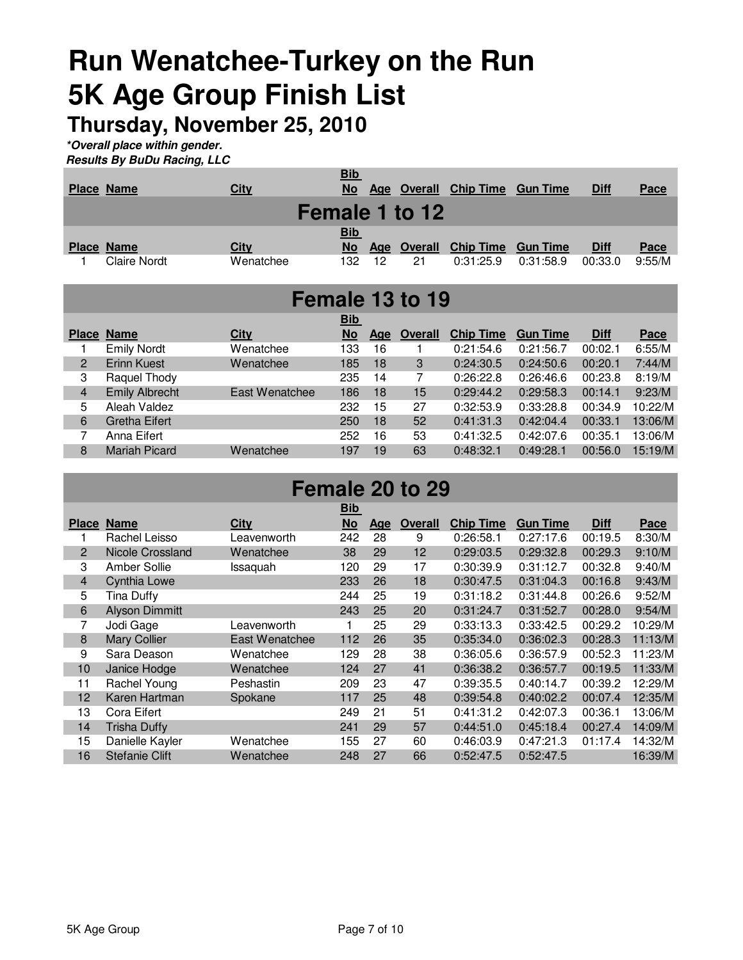## **Run Wenatchee-Turkey on the Run 5K Age Group Finish List**

**Thursday, November 25, 2010**

**\*Overall place within gender.**

|  | <b>Results By BuDu Racing, LLC</b> |  |
|--|------------------------------------|--|
|  |                                    |  |

| <b>Place Name</b> | <b>City</b> | <u>Bib</u><br><b>No</b> |     | Age Overall<br>Female 1 to 12 | <b>Chip Time</b>          | <b>Gun Time</b> | <b>Diff</b> | Pace   |
|-------------------|-------------|-------------------------|-----|-------------------------------|---------------------------|-----------------|-------------|--------|
| <b>Place Name</b> | <b>City</b> | <b>Bib</b><br><b>No</b> | Age | <b>Overall</b>                | <b>Chip Time Gun Time</b> |                 | <u>Diff</u> | Pace   |
| Claire Nordt      | Wenatchee   | 132                     | 12  | 21                            | 0:31:25.9                 | 0:31:58.9       | 00:33.0     | 9:55/M |

|                | Female 13 to 19       |                |                    |     |                |                  |                 |             |         |  |  |  |  |  |
|----------------|-----------------------|----------------|--------------------|-----|----------------|------------------|-----------------|-------------|---------|--|--|--|--|--|
| <b>Place</b>   | <b>Name</b>           | <b>City</b>    | <b>Bib</b><br>$No$ | Age | <b>Overall</b> | <b>Chip Time</b> | <b>Gun Time</b> | <b>Diff</b> | Pace    |  |  |  |  |  |
|                | <b>Emily Nordt</b>    | Wenatchee      | 133                | 16  |                | 0:21:54.6        | 0:21:56.7       | 00:02.1     | 6:55/M  |  |  |  |  |  |
| $\overline{2}$ | <b>Erinn Kuest</b>    | Wenatchee      | 185                | 18  | 3              | 0:24:30.5        | 0:24:50.6       | 00:20.1     | 7:44/M  |  |  |  |  |  |
| 3              | Raquel Thody          |                | 235                | 14  | 7              | 0:26:22.8        | 0:26:46.6       | 00:23.8     | 8:19/M  |  |  |  |  |  |
| 4              | <b>Emily Albrecht</b> | East Wenatchee | 186                | 18  | 15             | 0:29:44.2        | 0:29:58.3       | 00:14.1     | 9:23/M  |  |  |  |  |  |
| 5              | Aleah Valdez          |                | 232                | 15  | 27             | 0:32:53.9        | 0:33:28.8       | 00:34.9     | 10:22/M |  |  |  |  |  |
| 6              | <b>Gretha Eifert</b>  |                | 250                | 18  | 52             | 0:41:31.3        | 0:42:04.4       | 00:33.1     | 13:06/M |  |  |  |  |  |
| 7              | Anna Eifert           |                | 252                | 16  | 53             | 0:41:32.5        | 0:42:07.6       | 00:35.1     | 13:06/M |  |  |  |  |  |
| 8              | <b>Mariah Picard</b>  | Wenatchee      | 197                | 19  | 63             | 0:48:32.1        | 0:49:28.1       | 00:56.0     | 15:19/M |  |  |  |  |  |

### **Female 20 to 29**

|                |                         |                | <b>Bib</b> |     |                |                  |                 |             |         |
|----------------|-------------------------|----------------|------------|-----|----------------|------------------|-----------------|-------------|---------|
| <b>Place</b>   | <b>Name</b>             | <b>City</b>    | No         | Age | <b>Overall</b> | <b>Chip Time</b> | <b>Gun Time</b> | <b>Diff</b> | Pace    |
|                | Rachel Leisso           | Leavenworth    | 242        | 28  | 9              | 0:26:58.1        | 0:27:17.6       | 00:19.5     | 8:30/M  |
| $\overline{2}$ | <b>Nicole Crossland</b> | Wenatchee      | 38         | 29  | 12             | 0:29:03.5        | 0:29:32.8       | 00:29.3     | 9:10/M  |
| 3              | <b>Amber Sollie</b>     | Issaquah       | 120        | 29  | 17             | 0:30:39.9        | 0:31:12.7       | 00:32.8     | 9:40/M  |
| $\overline{4}$ | Cynthia Lowe            |                | 233        | 26  | 18             | 0:30:47.5        | 0:31:04.3       | 00:16.8     | 9:43/M  |
| 5              | <b>Tina Duffy</b>       |                | 244        | 25  | 19             | 0:31:18.2        | 0:31:44.8       | 00:26.6     | 9:52/M  |
| 6              | <b>Alyson Dimmitt</b>   |                | 243        | 25  | 20             | 0:31:24.7        | 0:31:52.7       | 00:28.0     | 9:54/M  |
| 7              | Jodi Gage               | Leavenworth    | 1          | 25  | 29             | 0:33:13.3        | 0:33:42.5       | 00:29.2     | 10:29/M |
| 8              | <b>Mary Collier</b>     | East Wenatchee | 112        | 26  | 35             | 0:35:34.0        | 0:36:02.3       | 00:28.3     | 11:13/M |
| 9              | Sara Deason             | Wenatchee      | 129        | 28  | 38             | 0:36:05.6        | 0:36:57.9       | 00:52.3     | 11:23/M |
| 10             | Janice Hodge            | Wenatchee      | 124        | 27  | 41             | 0:36:38.2        | 0:36:57.7       | 00:19.5     | 11:33/M |
| 11             | Rachel Young            | Peshastin      | 209        | 23  | 47             | 0:39:35.5        | 0:40:14.7       | 00:39.2     | 12:29/M |
| 12             | Karen Hartman           | Spokane        | 117        | 25  | 48             | 0:39:54.8        | 0:40:02.2       | 00:07.4     | 12:35/M |
| 13             | Cora Eifert             |                | 249        | 21  | 51             | 0:41:31.2        | 0:42:07.3       | 00:36.1     | 13:06/M |
| 14             | <b>Trisha Duffy</b>     |                | 241        | 29  | 57             | 0:44:51.0        | 0:45:18.4       | 00:27.4     | 14:09/M |
| 15             | Danielle Kayler         | Wenatchee      | 155        | 27  | 60             | 0:46:03.9        | 0:47:21.3       | 01:17.4     | 14:32/M |
| 16             | <b>Stefanie Clift</b>   | Wenatchee      | 248        | 27  | 66             | 0:52:47.5        | 0:52:47.5       |             | 16:39/M |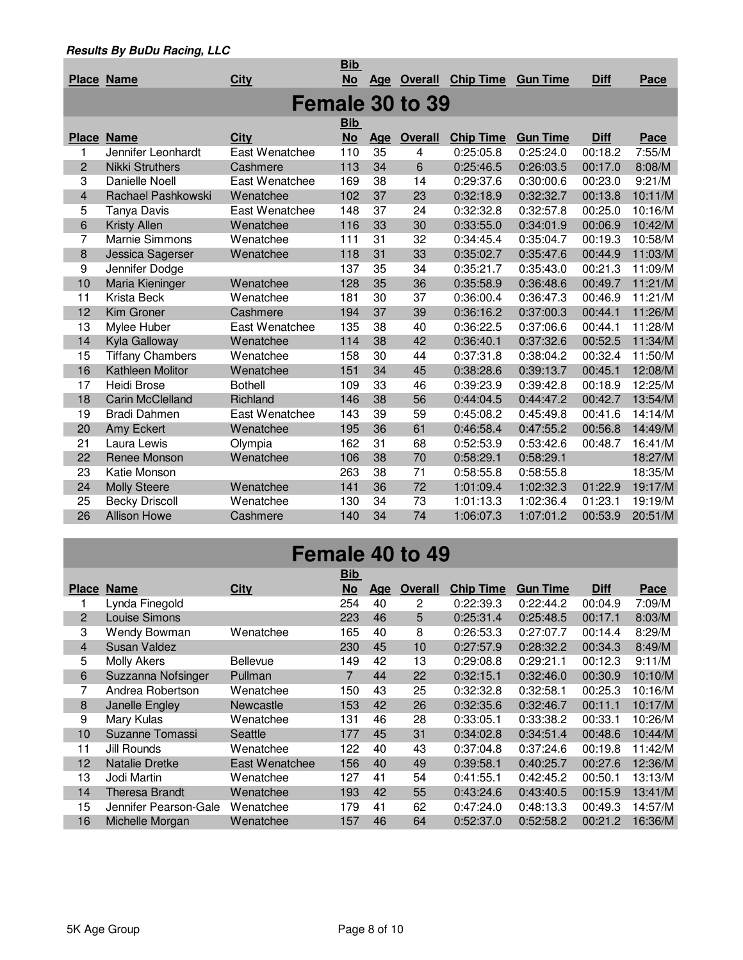|                         |                         |                | <b>Bib</b> |            |                 |                  |                 |             |         |
|-------------------------|-------------------------|----------------|------------|------------|-----------------|------------------|-----------------|-------------|---------|
|                         | <b>Place Name</b>       | <b>City</b>    | <u>No</u>  | <u>Age</u> | <b>Overall</b>  | <b>Chip Time</b> | <b>Gun Time</b> | <b>Diff</b> | Pace    |
|                         |                         |                |            |            | Female 30 to 39 |                  |                 |             |         |
|                         |                         |                |            |            |                 |                  |                 |             |         |
|                         |                         |                | <b>Bib</b> |            |                 |                  |                 |             |         |
| <b>Place</b>            | <b>Name</b>             | City           | <b>No</b>  | Age        | <b>Overall</b>  | <b>Chip Time</b> | <b>Gun Time</b> | <b>Diff</b> | Pace    |
| 1                       | Jennifer Leonhardt      | East Wenatchee | 110        | 35         | 4               | 0:25:05.8        | 0:25:24.0       | 00:18.2     | 7:55/M  |
| $\overline{2}$          | Nikki Struthers         | Cashmere       | 113        | 34         | 6               | 0:25:46.5        | 0:26:03.5       | 00:17.0     | 8:08/M  |
| 3                       | Danielle Noell          | East Wenatchee | 169        | 38         | 14              | 0:29:37.6        | 0:30:00.6       | 00:23.0     | 9:21/M  |
| $\overline{\mathbf{4}}$ | Rachael Pashkowski      | Wenatchee      | 102        | 37         | 23              | 0:32:18.9        | 0:32:32.7       | 00:13.8     | 10:11/M |
| 5                       | Tanya Davis             | East Wenatchee | 148        | 37         | 24              | 0:32:32.8        | 0:32:57.8       | 00:25.0     | 10:16/M |
| 6                       | <b>Kristy Allen</b>     | Wenatchee      | 116        | 33         | 30              | 0:33:55.0        | 0:34:01.9       | 00:06.9     | 10:42/M |
| 7                       | Marnie Simmons          | Wenatchee      | 111        | 31         | 32              | 0:34:45.4        | 0:35:04.7       | 00:19.3     | 10:58/M |
| 8                       | Jessica Sagerser        | Wenatchee      | 118        | 31         | 33              | 0:35:02.7        | 0:35:47.6       | 00:44.9     | 11:03/M |
| 9                       | Jennifer Dodge          |                | 137        | 35         | 34              | 0:35:21.7        | 0:35:43.0       | 00:21.3     | 11:09/M |
| 10                      | Maria Kieninger         | Wenatchee      | 128        | 35         | 36              | 0:35:58.9        | 0:36:48.6       | 00:49.7     | 11:21/M |
| 11                      | Krista Beck             | Wenatchee      | 181        | 30         | 37              | 0:36:00.4        | 0:36:47.3       | 00:46.9     | 11:21/M |
| 12                      | Kim Groner              | Cashmere       | 194        | 37         | 39              | 0:36:16.2        | 0:37:00.3       | 00:44.1     | 11:26/M |
| 13                      | Mylee Huber             | East Wenatchee | 135        | 38         | 40              | 0:36:22.5        | 0:37:06.6       | 00:44.1     | 11:28/M |
| 14                      | Kyla Galloway           | Wenatchee      | 114        | 38         | 42              | 0:36:40.1        | 0:37:32.6       | 00:52.5     | 11:34/M |
| 15                      | <b>Tiffany Chambers</b> | Wenatchee      | 158        | 30         | 44              | 0:37:31.8        | 0:38:04.2       | 00:32.4     | 11:50/M |
| 16                      | <b>Kathleen Molitor</b> | Wenatchee      | 151        | 34         | 45              | 0:38:28.6        | 0:39:13.7       | 00:45.1     | 12:08/M |
| 17                      | <b>Heidi Brose</b>      | <b>Bothell</b> | 109        | 33         | 46              | 0:39:23.9        | 0:39:42.8       | 00:18.9     | 12:25/M |
| 18                      | <b>Carin McClelland</b> | Richland       | 146        | 38         | 56              | 0:44:04.5        | 0:44:47.2       | 00:42.7     | 13:54/M |
| 19                      | <b>Bradi Dahmen</b>     | East Wenatchee | 143        | 39         | 59              | 0:45:08.2        | 0:45:49.8       | 00:41.6     | 14:14/M |
| 20                      | <b>Amy Eckert</b>       | Wenatchee      | 195        | 36         | 61              | 0:46:58.4        | 0:47:55.2       | 00:56.8     | 14:49/M |
| 21                      | Laura Lewis             | Olympia        | 162        | 31         | 68              | 0:52:53.9        | 0:53:42.6       | 00:48.7     | 16:41/M |
| 22                      | Renee Monson            | Wenatchee      | 106        | 38         | 70              | 0:58:29.1        | 0:58:29.1       |             | 18:27/M |
| 23                      | Katie Monson            |                | 263        | 38         | 71              | 0:58:55.8        | 0:58:55.8       |             | 18:35/M |
| 24                      | <b>Molly Steere</b>     | Wenatchee      | 141        | 36         | 72              | 1:01:09.4        | 1:02:32.3       | 01:22.9     | 19:17/M |
| 25                      | <b>Becky Driscoll</b>   | Wenatchee      | 130        | 34         | 73              | 1:01:13.3        | 1:02:36.4       | 01:23.1     | 19:19/M |
| 26                      | <b>Allison Howe</b>     | Cashmere       | 140        | 34         | 74              | 1:06:07.3        | 1:07:01.2       | 00:53.9     | 20:51/M |
|                         |                         |                |            |            |                 |                  |                 |             |         |

## **Female 40 to 49**

|                |                       |                 | <u>Bib</u> |            |                |                  |                 |             |         |
|----------------|-----------------------|-----------------|------------|------------|----------------|------------------|-----------------|-------------|---------|
| <b>Place</b>   | <b>Name</b>           | <b>City</b>     | No         | <u>Age</u> | <b>Overall</b> | <b>Chip Time</b> | <b>Gun Time</b> | <b>Diff</b> | Pace    |
|                | Lynda Finegold        |                 | 254        | 40         | 2              | 0:22:39.3        | 0:22:44.2       | 00:04.9     | 7:09/M  |
| $\overline{2}$ | Louise Simons         |                 | 223        | 46         | 5              | 0:25:31.4        | 0:25:48.5       | 00:17.1     | 8:03/M  |
| 3              | Wendy Bowman          | Wenatchee       | 165        | 40         | 8              | 0:26:53.3        | 0:27:07.7       | 00:14.4     | 8:29/M  |
| $\overline{4}$ | Susan Valdez          |                 | 230        | 45         | 10             | 0:27:57.9        | 0:28:32.2       | 00:34.3     | 8:49/M  |
| 5              | <b>Molly Akers</b>    | <b>Bellevue</b> | 149        | 42         | 13             | 0:29:08.8        | 0:29:21.1       | 00:12.3     | 9:11/M  |
| 6              | Suzzanna Nofsinger    | Pullman         | 7          | 44         | 22             | 0:32:15.1        | 0:32:46.0       | 00:30.9     | 10:10/M |
| 7              | Andrea Robertson      | Wenatchee       | 150        | 43         | 25             | 0:32:32.8        | 0:32:58.1       | 00:25.3     | 10:16/M |
| 8              | Janelle Engley        | Newcastle       | 153        | 42         | 26             | 0:32:35.6        | 0:32:46.7       | 00:11.1     | 10:17/M |
| 9              | Mary Kulas            | Wenatchee       | 131        | 46         | 28             | 0:33:05.1        | 0:33:38.2       | 00:33.1     | 10:26/M |
| 10             | Suzanne Tomassi       | Seattle         | 177        | 45         | 31             | 0:34:02.8        | 0:34:51.4       | 00:48.6     | 10:44/M |
| 11             | Jill Rounds           | Wenatchee       | 122        | 40         | 43             | 0:37:04.8        | 0:37:24.6       | 00:19.8     | 11:42/M |
| 12             | <b>Natalie Dretke</b> | East Wenatchee  | 156        | 40         | 49             | 0:39:58.1        | 0:40:25.7       | 00:27.6     | 12:36/M |
| 13             | Jodi Martin           | Wenatchee       | 127        | 41         | 54             | 0:41:55.1        | 0:42:45.2       | 00:50.1     | 13:13/M |
| 14             | <b>Theresa Brandt</b> | Wenatchee       | 193        | 42         | 55             | 0:43:24.6        | 0:43:40.5       | 00:15.9     | 13:41/M |
| 15             | Jennifer Pearson-Gale | Wenatchee       | 179        | 41         | 62             | 0:47:24.0        | 0:48:13.3       | 00:49.3     | 14:57/M |
| 16             | Michelle Morgan       | Wenatchee       | 157        | 46         | 64             | 0:52:37.0        | 0:52:58.2       | 00:21.2     | 16:36/M |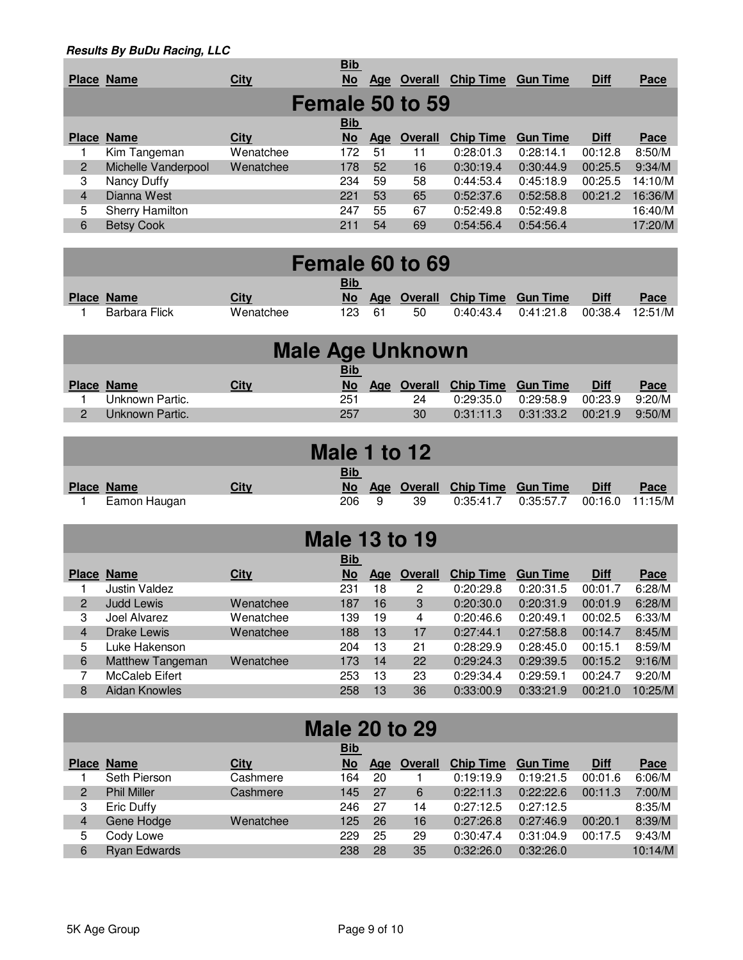|                | Place Name          | <b>City</b> | <u>Bib</u><br>$No$ | Age | <b>Overall</b>  | <b>Chip Time</b> | <b>Gun Time</b> | <b>Diff</b> | Pace    |
|----------------|---------------------|-------------|--------------------|-----|-----------------|------------------|-----------------|-------------|---------|
|                |                     |             |                    |     | Female 50 to 59 |                  |                 |             |         |
|                |                     |             | <b>Bib</b>         |     |                 |                  |                 |             |         |
|                | <b>Place Name</b>   | <b>City</b> | <b>No</b>          | Age | <b>Overall</b>  | <b>Chip Time</b> | <b>Gun Time</b> | <b>Diff</b> | Pace    |
|                | Kim Tangeman        | Wenatchee   | 172                | 51  | 11              | 0:28:01.3        | 0:28:14.1       | 00:12.8     | 8:50/M  |
| $\overline{2}$ | Michelle Vanderpool | Wenatchee   | 178                | 52  | 16              | 0:30:19.4        | 0:30:44.9       | 00:25.5     | 9:34/M  |
| 3              | Nancy Duffy         |             | 234                | 59  | 58              | 0:44:53.4        | 0:45:18.9       | 00:25.5     | 14:10/M |
| $\overline{4}$ | Dianna West         |             | 221                | 53  | 65              | 0:52:37.6        | 0:52:58.8       | 00:21.2     | 16:36/M |
| 5              | Sherry Hamilton     |             | 247                | 55  | 67              | 0:52:49.8        | 0:52:49.8       |             | 16:40/M |
| 6              | <b>Betsy Cook</b>   |             | 211                | 54  | 69              | 0:54:56.4        | 0:54:56.4       |             | 17:20/M |
|                |                     |             |                    |     |                 |                  |                 |             |         |

|               |           |                   |      | Female 60 to 69 |                                   |           |             |             |
|---------------|-----------|-------------------|------|-----------------|-----------------------------------|-----------|-------------|-------------|
| Place Name    | City      | <u>Bib</u><br>No. | Age  |                 | <b>Overall Chip Time Gun Time</b> |           | <b>Diff</b> | <b>Pace</b> |
| Barbara Flick | Wenatchee | 123               | - 61 | 50              | 0:40:43.4                         | 0:41:21.8 | 00:38.4     | 12:51/M     |

|   | <b>Male Age Unknown</b> |      |            |                                |           |                         |             |        |  |  |  |  |  |
|---|-------------------------|------|------------|--------------------------------|-----------|-------------------------|-------------|--------|--|--|--|--|--|
|   |                         |      | <b>Bib</b> |                                |           |                         |             |        |  |  |  |  |  |
|   | <b>Place Name</b>       | City | <b>No</b>  | Age Overall Chip Time Gun Time |           |                         | <b>Diff</b> | Pace   |  |  |  |  |  |
|   | Unknown Partic.         |      | 251        | 24                             | 0:29:35.0 | 0:29:58.9               | 00:23.9     | 9:20/M |  |  |  |  |  |
| 2 | Unknown Partic.         |      | 257        | 30                             |           | $0:31:11.3$ $0:31:33.2$ | 00:21.9     | 9:50/M |  |  |  |  |  |

|                   |      | Male 1 to 12 |   |    |                                |           |             |                 |
|-------------------|------|--------------|---|----|--------------------------------|-----------|-------------|-----------------|
|                   |      | <u>Bib</u>   |   |    |                                |           |             |                 |
| <b>Place Name</b> | City | No.          |   |    | Age Overall Chip Time Gun Time |           | <b>Diff</b> | Pace            |
| Eamon Haugan      |      | 206          | 9 | 39 | 0:35:41.7                      | 0:35:57.7 |             | 00:16.0 11:15/M |

| <b>Male 13 to 19</b> |                      |             |                         |     |                |                  |                 |             |         |  |
|----------------------|----------------------|-------------|-------------------------|-----|----------------|------------------|-----------------|-------------|---------|--|
|                      | <b>Place Name</b>    | <b>City</b> | <b>Bib</b><br><b>No</b> | Age | <b>Overall</b> | <b>Chip Time</b> | <b>Gun Time</b> | <b>Diff</b> | Pace    |  |
|                      | Justin Valdez        |             | 231                     | 18  | 2              | 0:20:29.8        | 0:20:31.5       | 00:01.7     | 6:28/M  |  |
| 2                    | <b>Judd Lewis</b>    | Wenatchee   | 187                     | 16  | 3              | 0:20:30.0        | 0:20:31.9       | 00:01.9     | 6:28/M  |  |
| 3                    | Joel Alvarez         | Wenatchee   | 139                     | 19  | 4              | 0:20:46.6        | 0:20:49.1       | 00:02.5     | 6:33/M  |  |
| $\overline{4}$       | Drake Lewis          | Wenatchee   | 188                     | 13  | 17             | 0:27:44.1        | 0:27:58.8       | 00:14.7     | 8:45/M  |  |
| 5                    | Luke Hakenson        |             | 204                     | 13  | 21             | 0:28:29.9        | 0:28:45.0       | 00:15.1     | 8:59/M  |  |
| 6                    | Matthew Tangeman     | Wenatchee   | 173                     | 14  | 22             | 0:29:24.3        | 0:29:39.5       | 00:15.2     | 9:16/M  |  |
| 7                    | McCaleb Eifert       |             | 253                     | 13  | 23             | 0:29:34.4        | 0:29:59.1       | 00:24.7     | 9:20/M  |  |
| 8                    | <b>Aidan Knowles</b> |             | 258                     | 13  | 36             | 0:33:00.9        | 0:33:21.9       | 00:21.0     | 10:25/M |  |
|                      |                      |             |                         |     |                |                  |                 |             |         |  |

| <b>Male 20 to 29</b> |                     |             |            |           |                |                  |                 |             |         |  |
|----------------------|---------------------|-------------|------------|-----------|----------------|------------------|-----------------|-------------|---------|--|
|                      |                     |             | <b>Bib</b> |           |                |                  |                 |             |         |  |
| <b>Place</b>         | <b>Name</b>         | <b>City</b> | No         | Age       | <b>Overall</b> | <b>Chip Time</b> | <b>Gun Time</b> | <b>Diff</b> | Pace    |  |
|                      | Seth Pierson        | Cashmere    | 164        | 20        |                | 0:19:19.9        | 0:19:21.5       | 00:01.6     | 6:06/M  |  |
| $\overline{2}$       | <b>Phil Miller</b>  | Cashmere    | 145        | <b>27</b> | 6              | 0:22:11.3        | 0:22:22.6       | 00:11.3     | 7:00/M  |  |
| 3                    | Eric Duffy          |             | 246        | 27        | 14             | 0:27:12.5        | 0:27:12.5       |             | 8:35/M  |  |
| 4                    | Gene Hodge          | Wenatchee   | 125        | 26        | 16             | 0:27:26.8        | 0:27:46.9       | 00:20.1     | 8:39/M  |  |
| 5                    | Cody Lowe           |             | 229        | 25        | 29             | 0:30:47.4        | 0:31:04.9       | 00:17.5     | 9:43/M  |  |
| 6                    | <b>Ryan Edwards</b> |             | 238        | 28        | 35             | 0:32:26.0        | 0:32:26.0       |             | 10:14/M |  |